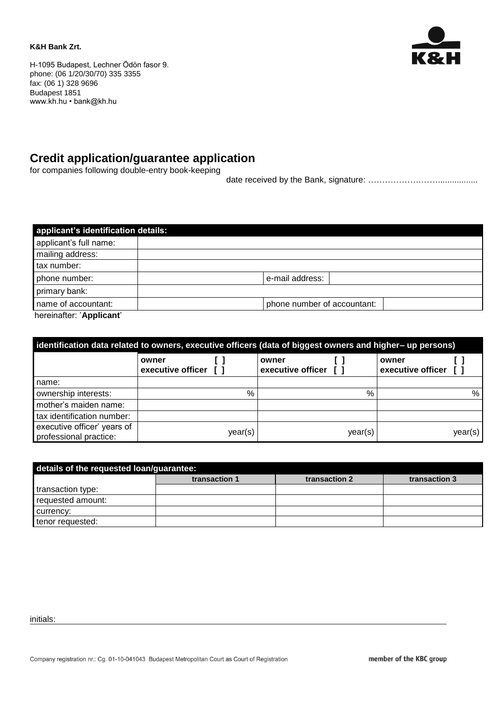#### **K&H Bank Zrt.**



H-1095 Budapest, Lechner Ödön fasor 9. phone: (06 1/20/30/70) 335 3355 fax: (06 1) 328 9696 Budapest 1851 www.kh.hu • bank@kh.hu

# **Credit application/guarantee application**

for companies following double-entry book-keeping

date received by the Bank, signature: ……………….…….................

| applicant's identification details: |                             |
|-------------------------------------|-----------------------------|
| applicant's full name:              |                             |
| mailing address:                    |                             |
| tax number:                         |                             |
| phone number:                       | e-mail address:             |
| primary bank:                       |                             |
| name of accountant:                 | phone number of accountant: |
| hereinafter: 'Applicant'            |                             |

| identification data related to owners, executive officers (data of biggest owners and higher– up persons) |                            |         |                                    |         |                            |         |
|-----------------------------------------------------------------------------------------------------------|----------------------------|---------|------------------------------------|---------|----------------------------|---------|
|                                                                                                           | owner<br>executive officer |         | <b>Lowner</b><br>executive officer |         | owner<br>executive officer |         |
| name:                                                                                                     |                            |         |                                    |         |                            |         |
| ownership interests:                                                                                      |                            | %       |                                    | %       |                            | %       |
| mother's maiden name:                                                                                     |                            |         |                                    |         |                            |         |
| tax identification number:                                                                                |                            |         |                                    |         |                            |         |
| executive officer' years of<br>professional practice:                                                     |                            | year(s) |                                    | year(s) |                            | year(s) |

| details of the requested loan/guarantee: |               |               |               |  |  |
|------------------------------------------|---------------|---------------|---------------|--|--|
|                                          | transaction 1 | transaction 2 | transaction 3 |  |  |
| transaction type:                        |               |               |               |  |  |
| requested amount:                        |               |               |               |  |  |
| currency:                                |               |               |               |  |  |
| tenor requested:                         |               |               |               |  |  |

initials: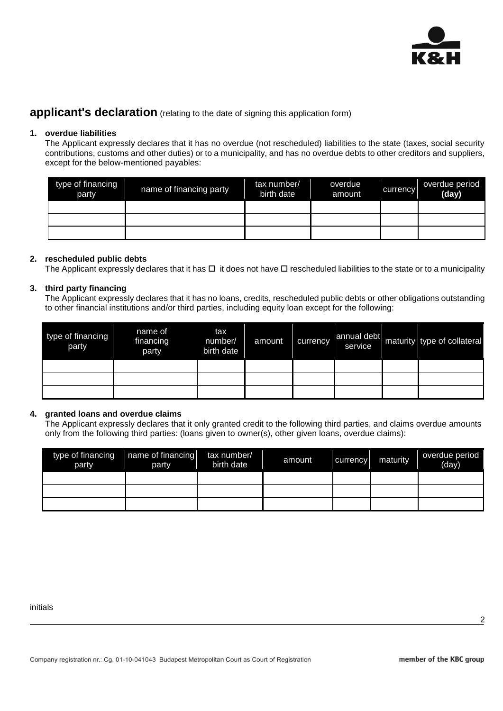

## **applicant's declaration** (relating to the date of signing this application form)

#### **1. overdue liabilities**

The Applicant expressly declares that it has no overdue (not rescheduled) liabilities to the state (taxes, social security contributions, customs and other duties) or to a municipality, and has no overdue debts to other creditors and suppliers, except for the below-mentioned payables:

| type of financing<br>party | name of financing party | tax number/<br>birth date | overdue<br>amount | currency | overdue period<br>(day) |
|----------------------------|-------------------------|---------------------------|-------------------|----------|-------------------------|
|                            |                         |                           |                   |          |                         |
|                            |                         |                           |                   |          |                         |
|                            |                         |                           |                   |          |                         |

#### **2. rescheduled public debts**

The Applicant expressly declares that it has  $\Box$  it does not have  $\Box$  rescheduled liabilities to the state or to a municipality

#### **3. third party financing**

The Applicant expressly declares that it has no loans, credits, rescheduled public debts or other obligations outstanding to other financial institutions and/or third parties, including equity loan except for the following:

| type of financing<br>party | name of<br>financing<br>party | tax<br>number/<br>birth date | amount | currency | annual debt<br>service | maturity type of collateral |
|----------------------------|-------------------------------|------------------------------|--------|----------|------------------------|-----------------------------|
|                            |                               |                              |        |          |                        |                             |
|                            |                               |                              |        |          |                        |                             |
|                            |                               |                              |        |          |                        |                             |

#### **4. granted loans and overdue claims**

The Applicant expressly declares that it only granted credit to the following third parties, and claims overdue amounts only from the following third parties: (loans given to owner(s), other given loans, overdue claims):

| type of financing<br>party | name of financing<br>party | tax number/<br>birth date | amount | currency | maturity | overdue period<br>(day) |
|----------------------------|----------------------------|---------------------------|--------|----------|----------|-------------------------|
|                            |                            |                           |        |          |          |                         |
|                            |                            |                           |        |          |          |                         |
|                            |                            |                           |        |          |          |                         |

initials